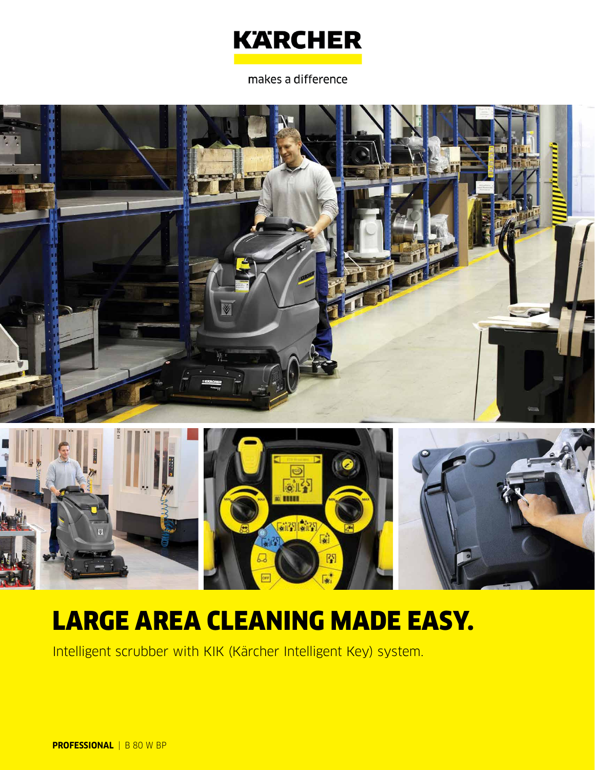

makes a difference



圖

# LARGE AREA CLEANING MADE EASY.

Intelligent scrubber with KIK (Kärcher Intelligent Key) system.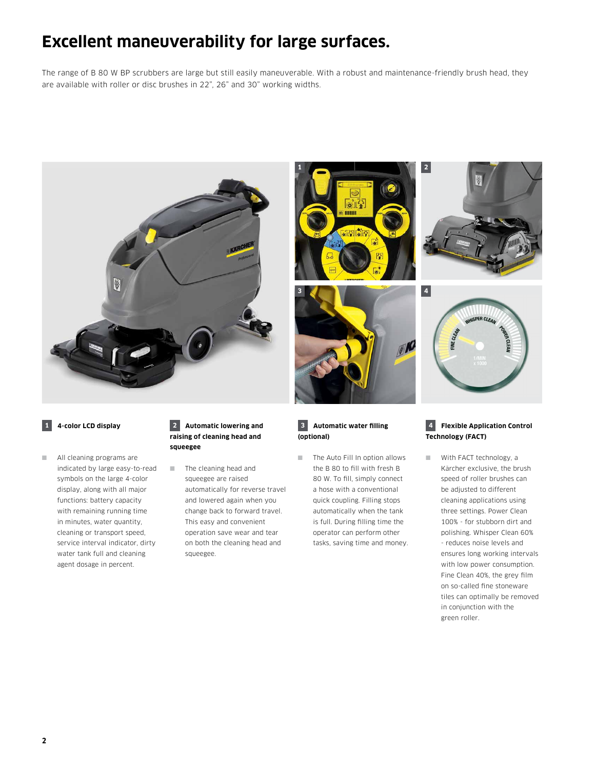### **Excellent maneuverability for large surfaces.**

The range of B 80 W BP scrubbers are large but still easily maneuverable. With a robust and maintenance-friendly brush head, they are available with roller or disc brushes in 22", 26" and 30" working widths.





### **1 4-color LCD display**

■ All cleaning programs are indicated by large easy-to-read symbols on the large 4-color display, along with all major functions: battery capacity with remaining running time in minutes, water quantity, cleaning or transport speed, service interval indicator, dirty water tank full and cleaning agent dosage in percent.

### **2 Automatic lowering and raising of cleaning head and squeegee**

■ The cleaning head and squeegee are raised automatically for reverse travel and lowered again when you change back to forward travel. This easy and convenient operation save wear and tear on both the cleaning head and squeegee.

#### **3 Automatic water filling (optional)**

■ The Auto Fill In option allows the B 80 to fill with fresh B 80 W. To fill, simply connect a hose with a conventional quick coupling. Filling stops automatically when the tank is full. During filling time the operator can perform other tasks, saving time and money.

### **4 Flexible Application Control Technology (FACT)**

■ With FACT technology, a Kärcher exclusive, the brush speed of roller brushes can be adjusted to different cleaning applications using three settings. Power Clean 100% - for stubborn dirt and polishing. Whisper Clean 60% - reduces noise levels and ensures long working intervals with low power consumption. Fine Clean 40%, the grey film on so-called fine stoneware tiles can optimally be removed in conjunction with the green roller.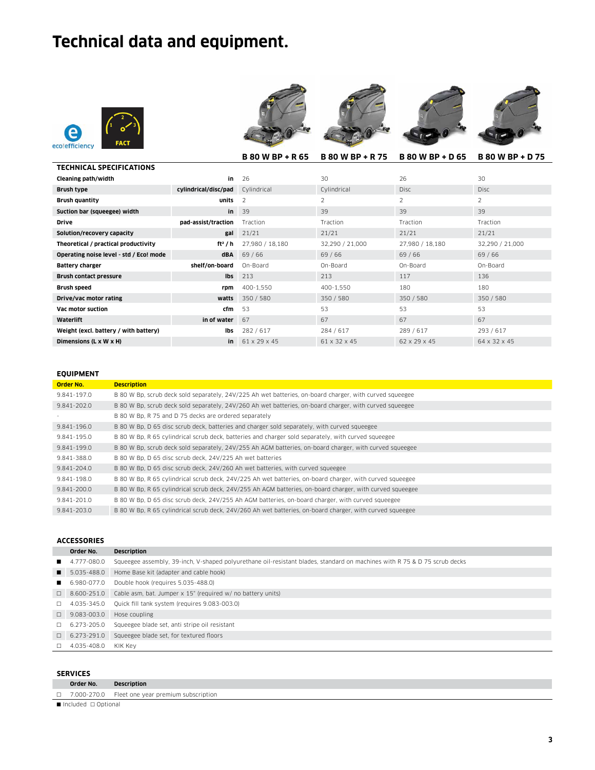## **Technical data and equipment.**





|                                         |                      | <b>B 80 W BP + R 65</b> | <b>B 80 W BP + R 75</b> | <b>B 80 W BP + D 65</b> | <b>B 80 W BP + D 75</b> |
|-----------------------------------------|----------------------|-------------------------|-------------------------|-------------------------|-------------------------|
| <b>TECHNICAL SPECIFICATIONS</b>         |                      |                         |                         |                         |                         |
| Cleaning path/width                     | in                   | 26                      | 30                      | 26                      | 30                      |
| Brush type                              | cylindrical/disc/pad | Cylindrical             | Cylindrical             | <b>Disc</b>             | <b>Disc</b>             |
| <b>Brush quantity</b>                   | units                | $\overline{2}$          | $\overline{2}$          | 2                       | 2                       |
| Suction bar (squeegee) width            | in                   | 39                      | 39                      | 39                      | 39                      |
| <b>Drive</b>                            | pad-assist/traction  | Traction                | Traction                | Traction                | Traction                |
| Solution/recovery capacity              | gal                  | 21/21                   | 21/21                   | 21/21                   | 21/21                   |
| Theoretical / practical productivity    | ft <sup>2</sup> / h  | 27,980 / 18,180         | 32,290 / 21,000         | 27,980 / 18,180         | 32,290 / 21,000         |
| Operating noise level - std / Eco! mode | dBA                  | 69 / 66                 | 69/66                   | 69 / 66                 | 69/66                   |
| Battery charger                         | shelf/on-board       | On-Board                | On-Board                | On-Board                | On-Board                |
| Brush contact pressure                  | Ibs                  | 213                     | 213                     | 117                     | 136                     |
| <b>Brush speed</b>                      | rpm                  | 400-1,550               | 400-1,550               | 180                     | 180                     |
| Drive/vac motor rating                  | watts                | 350 / 580               | 350 / 580               | 350 / 580               | 350 / 580               |
| Vac motor suction                       | cfm                  | 53                      | 53                      | 53                      | 53                      |
| Waterlift                               | in of water          | 67                      | 67                      | 67                      | 67                      |
| Weight (excl. battery / with battery)   | lbs                  | 282/617                 | 284 / 617               | 289 / 617               | 293 / 617               |
| Dimensions (L x W x H)                  | in                   | 61 x 29 x 45            | 61 x 32 x 45            | 62 x 29 x 45            | 64 x 32 x 45            |

### **EQUIPMENT**

| <b>Order No.</b> | <b>Description</b>                                                                                       |
|------------------|----------------------------------------------------------------------------------------------------------|
| 9.841-197.0      | B 80 W Bp, scrub deck sold separately, 24V/225 Ah wet batteries, on-board charger, with curved squeegee  |
| 9.841-202.0      | B 80 W Bp, scrub deck sold separately, 24V/260 Ah wet batteries, on-board charger, with curved squeegee  |
|                  | B 80 W Bp, R 75 and D 75 decks are ordered separately                                                    |
| 9.841-196.0      | B 80 W Bp, D 65 disc scrub deck, batteries and charger sold separately, with curved squeegee             |
| 9.841-195.0      | B 80 W Bp, R 65 cylindrical scrub deck, batteries and charger sold separately, with curved squeegee      |
| 9.841-199.0      | B 80 W Bp, scrub deck sold separately, 24V/255 Ah AGM batteries, on-board charger, with curved squeegee  |
| 9.841-388.0      | B 80 W Bp. D 65 disc scrub deck. 24V/225 Ah wet batteries                                                |
| 9.841-204.0      | B 80 W Bp, D 65 disc scrub deck, 24V/260 Ah wet batteries, with curved squeegee                          |
| 9.841-198.0      | B 80 W Bp, R 65 cylindrical scrub deck, 24V/225 Ah wet batteries, on-board charger, with curved squeegee |
| 9.841-200.0      | B 80 W Bp, R 65 cylindrical scrub deck, 24V/255 Ah AGM batteries, on-board charger, with curved squeegee |
| 9.841-201.0      | B 80 W Bp, D 65 disc scrub deck, 24V/255 Ah AGM batteries, on-board charger, with curved squeegee        |
| 9.841-203.0      | B 80 W Bp, R 65 cylindrical scrub deck, 24V/260 Ah wet batteries, on-board charger, with curved squeegee |

### **ACCESSORIES**

|                                            | Order No.          | <b>Description</b>                                                                                                        |
|--------------------------------------------|--------------------|---------------------------------------------------------------------------------------------------------------------------|
|                                            | $4.777 - 080.0$    | Squeegee assembly, 39-inch, V-shaped polyurethane oil-resistant blades, standard on machines with R 75 & D 75 scrub decks |
| . .                                        | 5.035-488.0        | Home Base kit (adapter and cable hook)                                                                                    |
| <b>Contract Contract Contract Contract</b> | 6.980-077.0        | Double hook (requires 5.035-488.0)                                                                                        |
|                                            | $\Box$ 8.600-251.0 | Cable asm, bat. Jumper x 15" (required w/ no battery units)                                                               |
| $\Box$                                     | 4.035-345.0        | Quick fill tank system (requires 9.083-003.0)                                                                             |
| $\Box$                                     | 9.083-003.0        | Hose coupling                                                                                                             |
| $\Box$                                     | 6.273-205.0        | Squeegee blade set, anti stripe oil resistant                                                                             |
| $\Box$                                     | 6.273-291.0        | Squeegee blade set, for textured floors                                                                                   |
|                                            | 4.035-408.0        | KIK Kev                                                                                                                   |

### **SERVICES**

|                          | <b>JLRVILLJ</b> |                                                   |  |
|--------------------------|-----------------|---------------------------------------------------|--|
|                          | Order No.       | <b>Description</b>                                |  |
|                          |                 | □ 7.000-270.0 Fleet one year premium subscription |  |
| Included $\Box$ Optional |                 |                                                   |  |